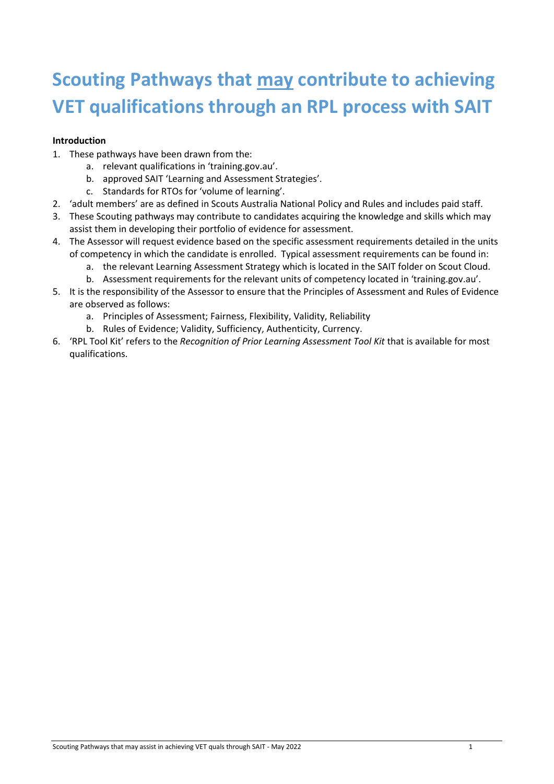# **Scouting Pathways that may contribute to achieving VET qualifications through an RPL process with SAIT**

#### **Introduction**

- 1. These pathways have been drawn from the:
	- a. relevant qualifications in 'training.gov.au'.
	- b. approved SAIT 'Learning and Assessment Strategies'.
	- c. Standards for RTOs for 'volume of learning'.
- 2. 'adult members' are as defined in Scouts Australia National Policy and Rules and includes paid staff.
- 3. These Scouting pathways may contribute to candidates acquiring the knowledge and skills which may assist them in developing their portfolio of evidence for assessment.
- 4. The Assessor will request evidence based on the specific assessment requirements detailed in the units of competency in which the candidate is enrolled. Typical assessment requirements can be found in:
	- a. the relevant Learning Assessment Strategy which is located in the SAIT folder on Scout Cloud.
	- b. Assessment requirements for the relevant units of competency located in 'training.gov.au'.
- 5. It is the responsibility of the Assessor to ensure that the Principles of Assessment and Rules of Evidence are observed as follows:
	- a. Principles of Assessment; Fairness, Flexibility, Validity, Reliability
	- b. Rules of Evidence; Validity, Sufficiency, Authenticity, Currency.
- 6. 'RPL Tool Kit' refers to the *Recognition of Prior Learning Assessment Tool Kit* that is available for most qualifications.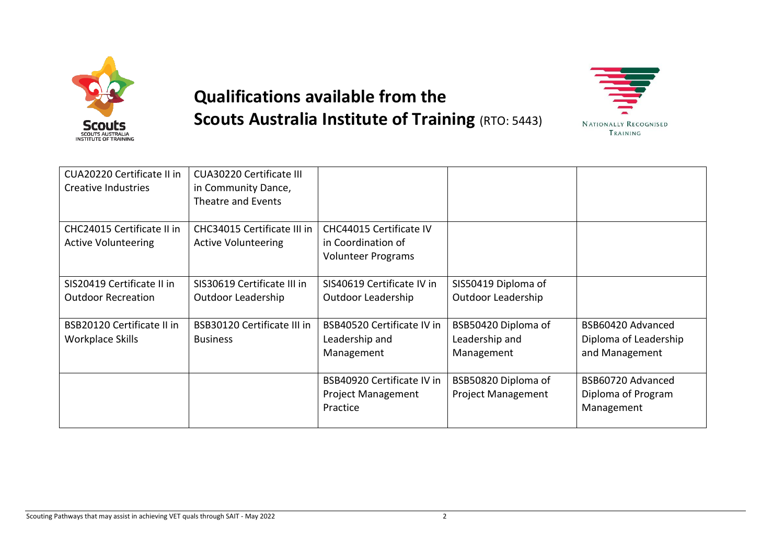

# **Qualifications available from the Scouts Australia Institute of Training (RTO: 5443)**



| CUA20220 Certificate II in<br>Creative Industries        | <b>CUA30220 Certificate III</b><br>in Community Dance,<br>Theatre and Events |                                                                            |                                                     |                                                              |
|----------------------------------------------------------|------------------------------------------------------------------------------|----------------------------------------------------------------------------|-----------------------------------------------------|--------------------------------------------------------------|
| CHC24015 Certificate II in<br><b>Active Volunteering</b> | CHC34015 Certificate III in<br><b>Active Volunteering</b>                    | CHC44015 Certificate IV<br>in Coordination of<br><b>Volunteer Programs</b> |                                                     |                                                              |
| SIS20419 Certificate II in<br><b>Outdoor Recreation</b>  | SIS30619 Certificate III in<br><b>Outdoor Leadership</b>                     | SIS40619 Certificate IV in<br>Outdoor Leadership                           | SIS50419 Diploma of<br><b>Outdoor Leadership</b>    |                                                              |
| <b>BSB20120 Certificate II in</b><br>Workplace Skills    | <b>BSB30120 Certificate III in</b><br><b>Business</b>                        | BSB40520 Certificate IV in<br>Leadership and<br>Management                 | BSB50420 Diploma of<br>Leadership and<br>Management | BSB60420 Advanced<br>Diploma of Leadership<br>and Management |
|                                                          |                                                                              | BSB40920 Certificate IV in<br><b>Project Management</b><br>Practice        | BSB50820 Diploma of<br><b>Project Management</b>    | BSB60720 Advanced<br>Diploma of Program<br>Management        |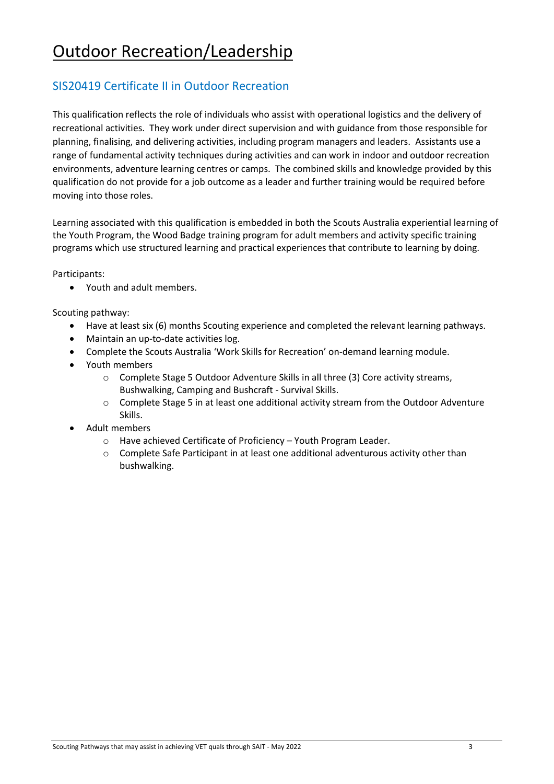## SIS20419 Certificate II in Outdoor Recreation

This qualification reflects the role of individuals who assist with operational logistics and the delivery of recreational activities. They work under direct supervision and with guidance from those responsible for planning, finalising, and delivering activities, including program managers and leaders. Assistants use a range of fundamental activity techniques during activities and can work in indoor and outdoor recreation environments, adventure learning centres or camps. The combined skills and knowledge provided by this qualification do not provide for a job outcome as a leader and further training would be required before moving into those roles.

Learning associated with this qualification is embedded in both the Scouts Australia experiential learning of the Youth Program, the Wood Badge training program for adult members and activity specific training programs which use structured learning and practical experiences that contribute to learning by doing.

Participants:

• Youth and adult members.

- Have at least six (6) months Scouting experience and completed the relevant learning pathways.
- Maintain an up-to-date activities log.
- Complete the Scouts Australia 'Work Skills for Recreation' on-demand learning module.
- Youth members
	- o Complete Stage 5 Outdoor Adventure Skills in all three (3) Core activity streams, Bushwalking, Camping and Bushcraft - Survival Skills.
	- $\circ$  Complete Stage 5 in at least one additional activity stream from the Outdoor Adventure Skills.
- Adult members
	- o Have achieved Certificate of Proficiency Youth Program Leader.
	- $\circ$  Complete Safe Participant in at least one additional adventurous activity other than bushwalking.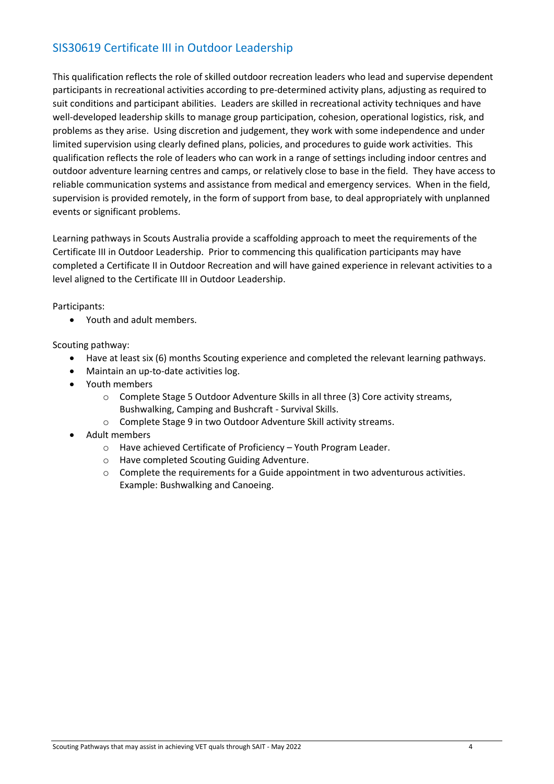## SIS30619 Certificate III in Outdoor Leadership

This qualification reflects the role of skilled outdoor recreation leaders who lead and supervise dependent participants in recreational activities according to pre-determined activity plans, adjusting as required to suit conditions and participant abilities. Leaders are skilled in recreational activity techniques and have well-developed leadership skills to manage group participation, cohesion, operational logistics, risk, and problems as they arise. Using discretion and judgement, they work with some independence and under limited supervision using clearly defined plans, policies, and procedures to guide work activities. This qualification reflects the role of leaders who can work in a range of settings including indoor centres and outdoor adventure learning centres and camps, or relatively close to base in the field. They have access to reliable communication systems and assistance from medical and emergency services. When in the field, supervision is provided remotely, in the form of support from base, to deal appropriately with unplanned events or significant problems.

Learning pathways in Scouts Australia provide a scaffolding approach to meet the requirements of the Certificate III in Outdoor Leadership. Prior to commencing this qualification participants may have completed a Certificate II in Outdoor Recreation and will have gained experience in relevant activities to a level aligned to the Certificate III in Outdoor Leadership.

#### Participants:

• Youth and adult members.

- Have at least six (6) months Scouting experience and completed the relevant learning pathways.
- Maintain an up-to-date activities log.
- Youth members
	- $\circ$  Complete Stage 5 Outdoor Adventure Skills in all three (3) Core activity streams, Bushwalking, Camping and Bushcraft - Survival Skills.
	- o Complete Stage 9 in two Outdoor Adventure Skill activity streams.
- Adult members
	- o Have achieved Certificate of Proficiency Youth Program Leader.
	- o Have completed Scouting Guiding Adventure.
	- $\circ$  Complete the requirements for a Guide appointment in two adventurous activities. Example: Bushwalking and Canoeing.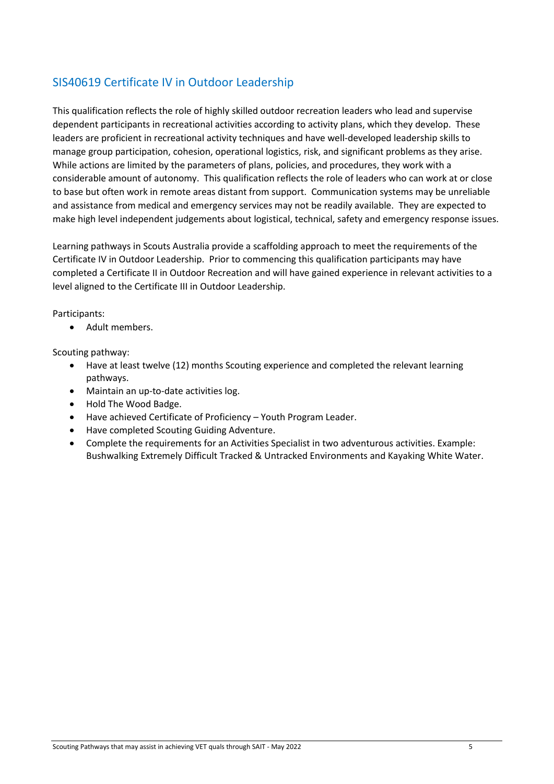## SIS40619 Certificate IV in Outdoor Leadership

This qualification reflects the role of highly skilled outdoor recreation leaders who lead and supervise dependent participants in recreational activities according to activity plans, which they develop. These leaders are proficient in recreational activity techniques and have well-developed leadership skills to manage group participation, cohesion, operational logistics, risk, and significant problems as they arise. While actions are limited by the parameters of plans, policies, and procedures, they work with a considerable amount of autonomy. This qualification reflects the role of leaders who can work at or close to base but often work in remote areas distant from support. Communication systems may be unreliable and assistance from medical and emergency services may not be readily available. They are expected to make high level independent judgements about logistical, technical, safety and emergency response issues.

Learning pathways in Scouts Australia provide a scaffolding approach to meet the requirements of the Certificate IV in Outdoor Leadership. Prior to commencing this qualification participants may have completed a Certificate II in Outdoor Recreation and will have gained experience in relevant activities to a level aligned to the Certificate III in Outdoor Leadership.

Participants:

• Adult members.

- Have at least twelve (12) months Scouting experience and completed the relevant learning pathways.
- Maintain an up-to-date activities log.
- Hold The Wood Badge.
- Have achieved Certificate of Proficiency Youth Program Leader.
- Have completed Scouting Guiding Adventure.
- Complete the requirements for an Activities Specialist in two adventurous activities. Example: Bushwalking Extremely Difficult Tracked & Untracked Environments and Kayaking White Water.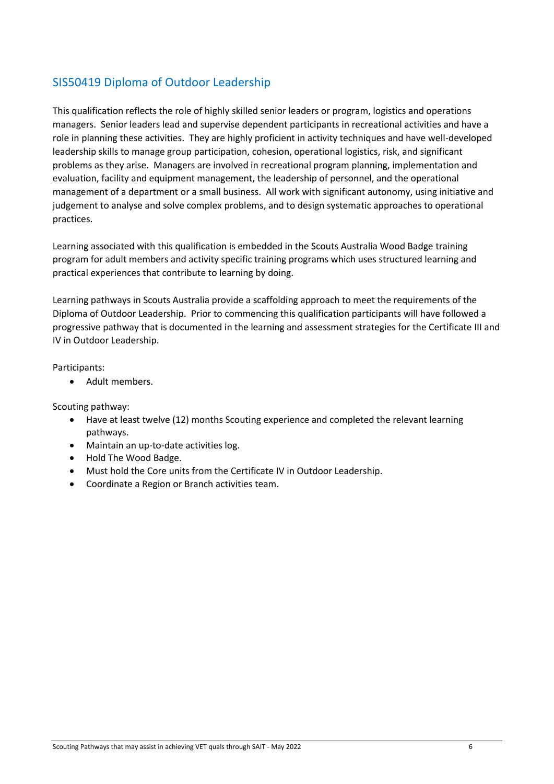## SIS50419 Diploma of Outdoor Leadership

This qualification reflects the role of highly skilled senior leaders or program, logistics and operations managers. Senior leaders lead and supervise dependent participants in recreational activities and have a role in planning these activities. They are highly proficient in activity techniques and have well-developed leadership skills to manage group participation, cohesion, operational logistics, risk, and significant problems as they arise. Managers are involved in recreational program planning, implementation and evaluation, facility and equipment management, the leadership of personnel, and the operational management of a department or a small business. All work with significant autonomy, using initiative and judgement to analyse and solve complex problems, and to design systematic approaches to operational practices.

Learning associated with this qualification is embedded in the Scouts Australia Wood Badge training program for adult members and activity specific training programs which uses structured learning and practical experiences that contribute to learning by doing.

Learning pathways in Scouts Australia provide a scaffolding approach to meet the requirements of the Diploma of Outdoor Leadership. Prior to commencing this qualification participants will have followed a progressive pathway that is documented in the learning and assessment strategies for the Certificate III and IV in Outdoor Leadership.

Participants:

• Adult members.

- Have at least twelve (12) months Scouting experience and completed the relevant learning pathways.
- Maintain an up-to-date activities log.
- Hold The Wood Badge.
- Must hold the Core units from the Certificate IV in Outdoor Leadership.
- Coordinate a Region or Branch activities team.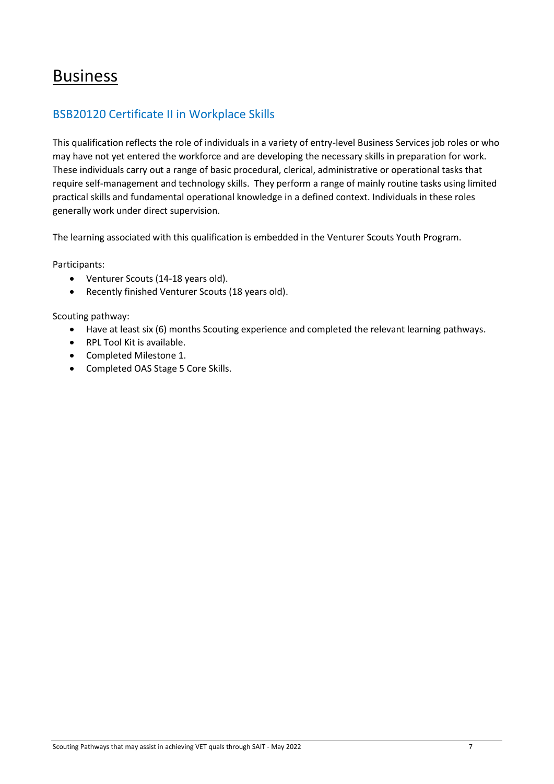## Business

## BSB20120 Certificate II in Workplace Skills

This qualification reflects the role of individuals in a variety of entry-level Business Services job roles or who may have not yet entered the workforce and are developing the necessary skills in preparation for work. These individuals carry out a range of basic procedural, clerical, administrative or operational tasks that require self-management and technology skills. They perform a range of mainly routine tasks using limited practical skills and fundamental operational knowledge in a defined context. Individuals in these roles generally work under direct supervision.

The learning associated with this qualification is embedded in the Venturer Scouts Youth Program.

Participants:

- Venturer Scouts (14-18 years old).
- Recently finished Venturer Scouts (18 years old).

- Have at least six (6) months Scouting experience and completed the relevant learning pathways.
- RPL Tool Kit is available.
- Completed Milestone 1.
- Completed OAS Stage 5 Core Skills.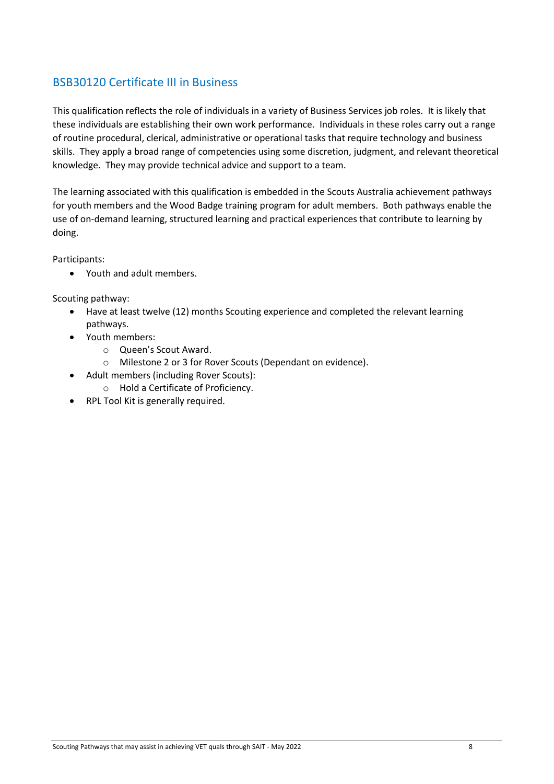## BSB30120 Certificate III in Business

This qualification reflects the role of individuals in a variety of Business Services job roles. It is likely that these individuals are establishing their own work performance. Individuals in these roles carry out a range of routine procedural, clerical, administrative or operational tasks that require technology and business skills. They apply a broad range of competencies using some discretion, judgment, and relevant theoretical knowledge. They may provide technical advice and support to a team.

The learning associated with this qualification is embedded in the Scouts Australia achievement pathways for youth members and the Wood Badge training program for adult members. Both pathways enable the use of on-demand learning, structured learning and practical experiences that contribute to learning by doing.

Participants:

• Youth and adult members.

- Have at least twelve (12) months Scouting experience and completed the relevant learning pathways.
- Youth members:
	- o Queen's Scout Award.
	- o Milestone 2 or 3 for Rover Scouts (Dependant on evidence).
- Adult members (including Rover Scouts):
	- o Hold a Certificate of Proficiency.
- RPL Tool Kit is generally required.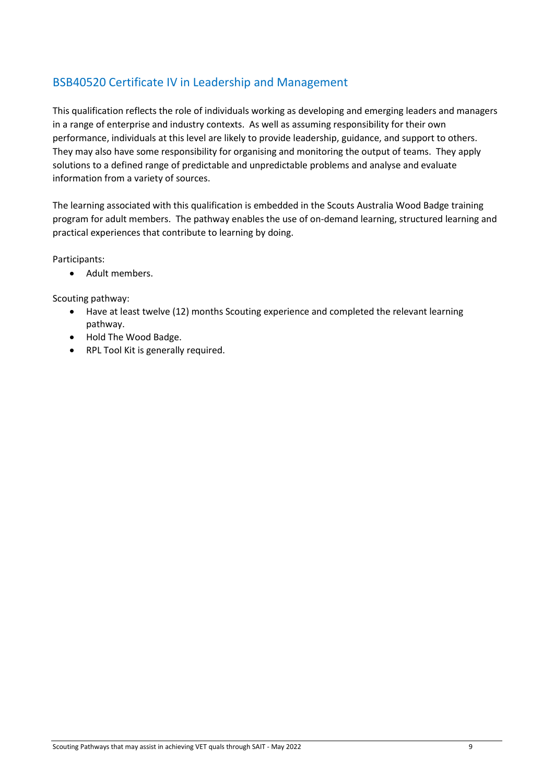## BSB40520 Certificate IV in Leadership and Management

This qualification reflects the role of individuals working as developing and emerging leaders and managers in a range of enterprise and industry contexts. As well as assuming responsibility for their own performance, individuals at this level are likely to provide leadership, guidance, and support to others. They may also have some responsibility for organising and monitoring the output of teams. They apply solutions to a defined range of predictable and unpredictable problems and analyse and evaluate information from a variety of sources.

The learning associated with this qualification is embedded in the Scouts Australia Wood Badge training program for adult members. The pathway enables the use of on-demand learning, structured learning and practical experiences that contribute to learning by doing.

Participants:

• Adult members.

- Have at least twelve (12) months Scouting experience and completed the relevant learning pathway.
- Hold The Wood Badge.
- RPL Tool Kit is generally required.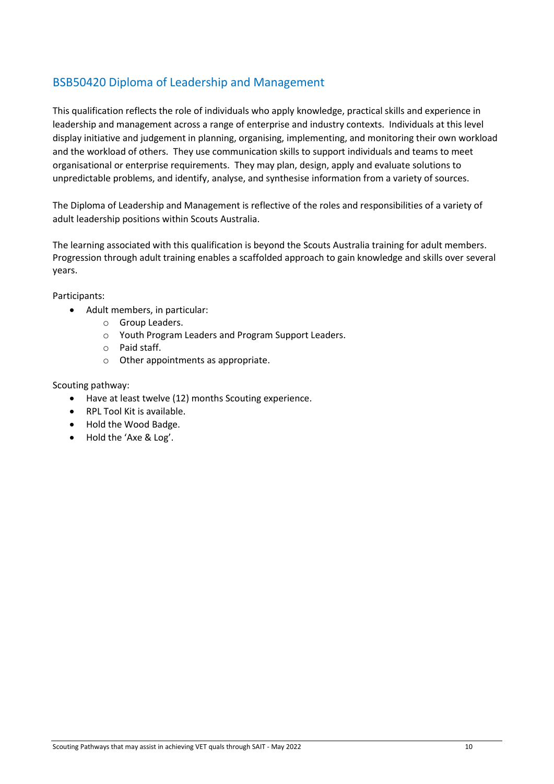## BSB50420 Diploma of Leadership and Management

This qualification reflects the role of individuals who apply knowledge, practical skills and experience in leadership and management across a range of enterprise and industry contexts. Individuals at this level display initiative and judgement in planning, organising, implementing, and monitoring their own workload and the workload of others. They use communication skills to support individuals and teams to meet organisational or enterprise requirements. They may plan, design, apply and evaluate solutions to unpredictable problems, and identify, analyse, and synthesise information from a variety of sources.

The Diploma of Leadership and Management is reflective of the roles and responsibilities of a variety of adult leadership positions within Scouts Australia.

The learning associated with this qualification is beyond the Scouts Australia training for adult members. Progression through adult training enables a scaffolded approach to gain knowledge and skills over several years.

Participants:

- Adult members, in particular:
	- o Group Leaders.
	- o Youth Program Leaders and Program Support Leaders.
	- o Paid staff.
	- o Other appointments as appropriate.

- Have at least twelve (12) months Scouting experience.
- RPL Tool Kit is available.
- Hold the Wood Badge.
- Hold the 'Axe & Log'.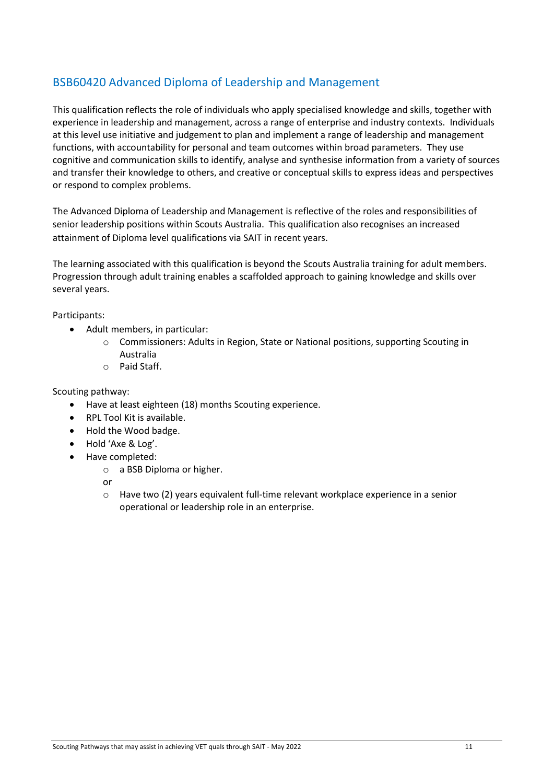## BSB60420 Advanced Diploma of Leadership and Management

This qualification reflects the role of individuals who apply specialised knowledge and skills, together with experience in leadership and management, across a range of enterprise and industry contexts. Individuals at this level use initiative and judgement to plan and implement a range of leadership and management functions, with accountability for personal and team outcomes within broad parameters. They use cognitive and communication skills to identify, analyse and synthesise information from a variety of sources and transfer their knowledge to others, and creative or conceptual skills to express ideas and perspectives or respond to complex problems.

The Advanced Diploma of Leadership and Management is reflective of the roles and responsibilities of senior leadership positions within Scouts Australia. This qualification also recognises an increased attainment of Diploma level qualifications via SAIT in recent years.

The learning associated with this qualification is beyond the Scouts Australia training for adult members. Progression through adult training enables a scaffolded approach to gaining knowledge and skills over several years.

#### Participants:

- Adult members, in particular:
	- $\circ$  Commissioners: Adults in Region, State or National positions, supporting Scouting in Australia
	- o Paid Staff.

Scouting pathway:

- Have at least eighteen (18) months Scouting experience.
- RPL Tool Kit is available.
- Hold the Wood badge.
- Hold 'Axe & Log'.
- Have completed:
	- o a BSB Diploma or higher.

or

 $\circ$  Have two (2) years equivalent full-time relevant workplace experience in a senior operational or leadership role in an enterprise.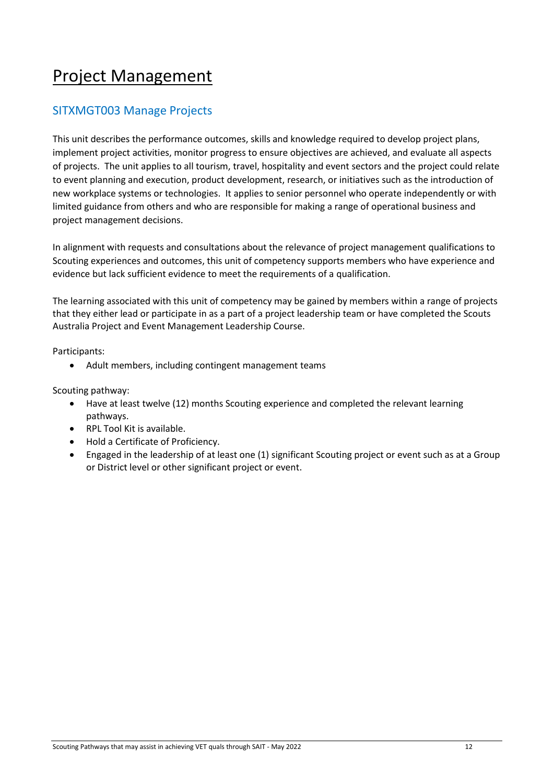## Project Management

### SITXMGT003 Manage Projects

This unit describes the performance outcomes, skills and knowledge required to develop project plans, implement project activities, monitor progress to ensure objectives are achieved, and evaluate all aspects of projects. The unit applies to all tourism, travel, hospitality and event sectors and the project could relate to event planning and execution, product development, research, or initiatives such as the introduction of new workplace systems or technologies. It applies to senior personnel who operate independently or with limited guidance from others and who are responsible for making a range of operational business and project management decisions.

In alignment with requests and consultations about the relevance of project management qualifications to Scouting experiences and outcomes, this unit of competency supports members who have experience and evidence but lack sufficient evidence to meet the requirements of a qualification.

The learning associated with this unit of competency may be gained by members within a range of projects that they either lead or participate in as a part of a project leadership team or have completed the Scouts Australia Project and Event Management Leadership Course.

Participants:

• Adult members, including contingent management teams

- Have at least twelve (12) months Scouting experience and completed the relevant learning pathways.
- RPL Tool Kit is available.
- Hold a Certificate of Proficiency.
- Engaged in the leadership of at least one (1) significant Scouting project or event such as at a Group or District level or other significant project or event.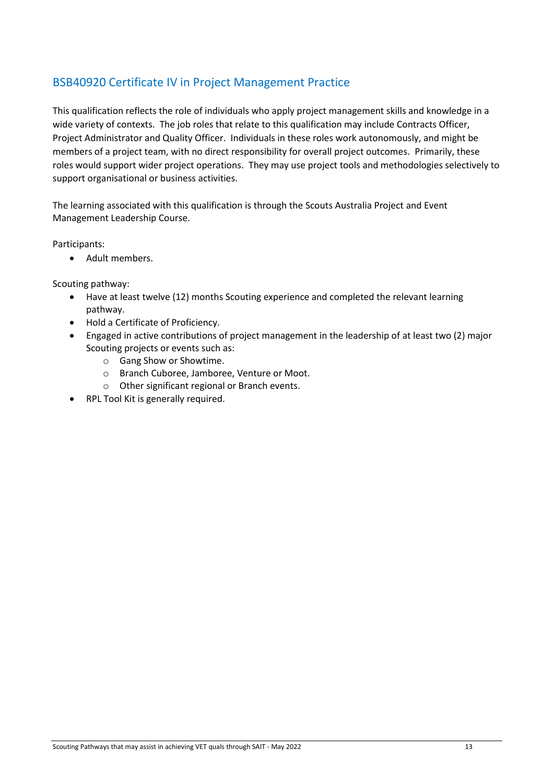## BSB40920 Certificate IV in Project Management Practice

This qualification reflects the role of individuals who apply project management skills and knowledge in a wide variety of contexts. The job roles that relate to this qualification may include Contracts Officer, Project Administrator and Quality Officer. Individuals in these roles work autonomously, and might be members of a project team, with no direct responsibility for overall project outcomes. Primarily, these roles would support wider project operations. They may use project tools and methodologies selectively to support organisational or business activities.

The learning associated with this qualification is through the Scouts Australia Project and Event Management Leadership Course.

Participants:

• Adult members.

- Have at least twelve (12) months Scouting experience and completed the relevant learning pathway.
- Hold a Certificate of Proficiency.
- Engaged in active contributions of project management in the leadership of at least two (2) major Scouting projects or events such as:
	- o Gang Show or Showtime.
	- o Branch Cuboree, Jamboree, Venture or Moot.
	- o Other significant regional or Branch events.
- RPL Tool Kit is generally required.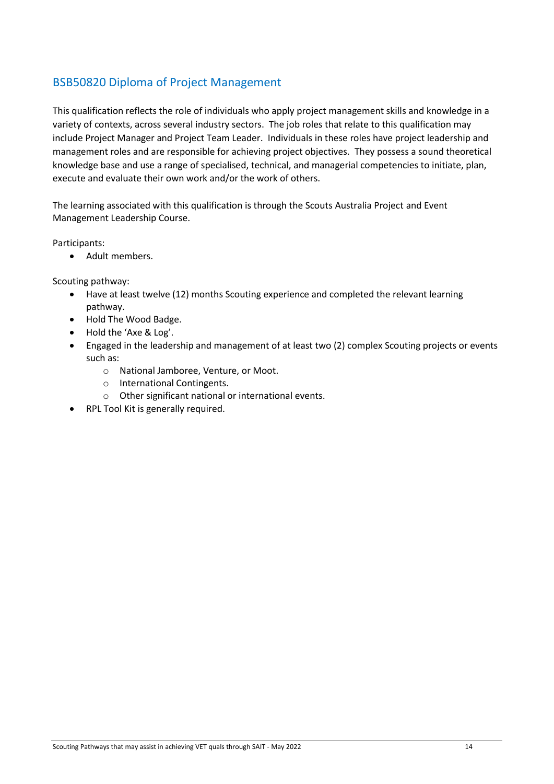## BSB50820 Diploma of Project Management

This qualification reflects the role of individuals who apply project management skills and knowledge in a variety of contexts, across several industry sectors. The job roles that relate to this qualification may include Project Manager and Project Team Leader. Individuals in these roles have project leadership and management roles and are responsible for achieving project objectives. They possess a sound theoretical knowledge base and use a range of specialised, technical, and managerial competencies to initiate, plan, execute and evaluate their own work and/or the work of others.

The learning associated with this qualification is through the Scouts Australia Project and Event Management Leadership Course.

Participants:

• Adult members.

- Have at least twelve (12) months Scouting experience and completed the relevant learning pathway.
- Hold The Wood Badge.
- Hold the 'Axe & Log'.
- Engaged in the leadership and management of at least two (2) complex Scouting projects or events such as:
	- o National Jamboree, Venture, or Moot.
	- o International Contingents.
	- o Other significant national or international events.
- RPL Tool Kit is generally required.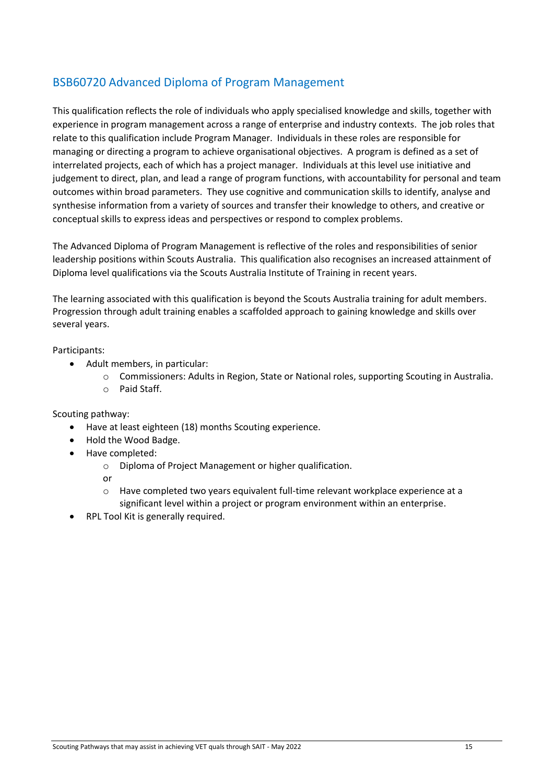## BSB60720 Advanced Diploma of Program Management

This qualification reflects the role of individuals who apply specialised knowledge and skills, together with experience in program management across a range of enterprise and industry contexts. The job roles that relate to this qualification include Program Manager. Individuals in these roles are responsible for managing or directing a program to achieve organisational objectives. A program is defined as a set of interrelated projects, each of which has a project manager. Individuals at this level use initiative and judgement to direct, plan, and lead a range of program functions, with accountability for personal and team outcomes within broad parameters. They use cognitive and communication skills to identify, analyse and synthesise information from a variety of sources and transfer their knowledge to others, and creative or conceptual skills to express ideas and perspectives or respond to complex problems.

The Advanced Diploma of Program Management is reflective of the roles and responsibilities of senior leadership positions within Scouts Australia. This qualification also recognises an increased attainment of Diploma level qualifications via the Scouts Australia Institute of Training in recent years.

The learning associated with this qualification is beyond the Scouts Australia training for adult members. Progression through adult training enables a scaffolded approach to gaining knowledge and skills over several years.

Participants:

- Adult members, in particular:
	- o Commissioners: Adults in Region, State or National roles, supporting Scouting in Australia.
	- o Paid Staff.

Scouting pathway:

- Have at least eighteen (18) months Scouting experience.
- Hold the Wood Badge.
- Have completed:
	- o Diploma of Project Management or higher qualification.

or

- o Have completed two years equivalent full-time relevant workplace experience at a significant level within a project or program environment within an enterprise.
- RPL Tool Kit is generally required.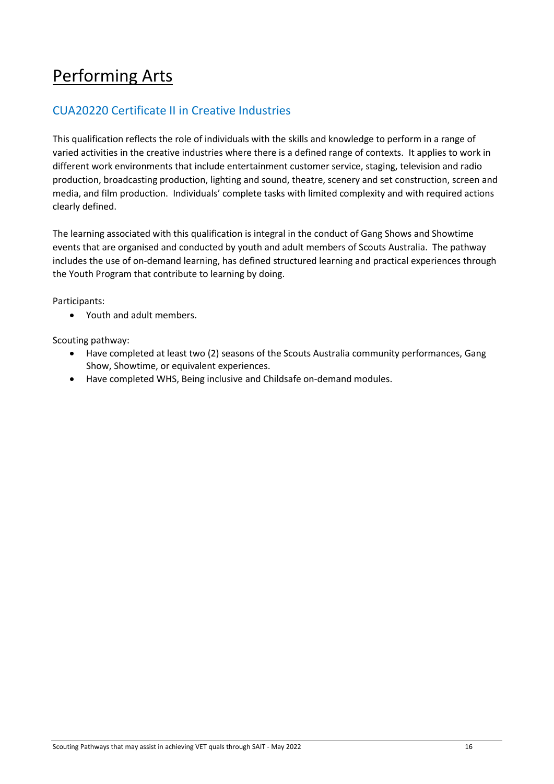## Performing Arts

## CUA20220 Certificate II in Creative Industries

This qualification reflects the role of individuals with the skills and knowledge to perform in a range of varied activities in the creative industries where there is a defined range of contexts. It applies to work in different work environments that include entertainment customer service, staging, television and radio production, broadcasting production, lighting and sound, theatre, scenery and set construction, screen and media, and film production. Individuals' complete tasks with limited complexity and with required actions clearly defined.

The learning associated with this qualification is integral in the conduct of Gang Shows and Showtime events that are organised and conducted by youth and adult members of Scouts Australia. The pathway includes the use of on-demand learning, has defined structured learning and practical experiences through the Youth Program that contribute to learning by doing.

Participants:

• Youth and adult members.

- Have completed at least two (2) seasons of the Scouts Australia community performances, Gang Show, Showtime, or equivalent experiences.
- Have completed WHS, Being inclusive and Childsafe on-demand modules.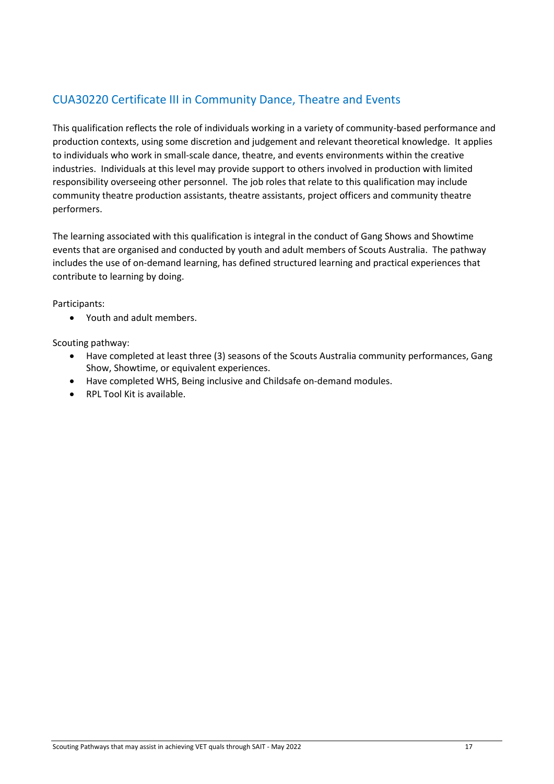## CUA30220 Certificate III in Community Dance, Theatre and Events

This qualification reflects the role of individuals working in a variety of community-based performance and production contexts, using some discretion and judgement and relevant theoretical knowledge. It applies to individuals who work in small-scale dance, theatre, and events environments within the creative industries. Individuals at this level may provide support to others involved in production with limited responsibility overseeing other personnel. The job roles that relate to this qualification may include community theatre production assistants, theatre assistants, project officers and community theatre performers.

The learning associated with this qualification is integral in the conduct of Gang Shows and Showtime events that are organised and conducted by youth and adult members of Scouts Australia. The pathway includes the use of on-demand learning, has defined structured learning and practical experiences that contribute to learning by doing.

Participants:

• Youth and adult members.

- Have completed at least three (3) seasons of the Scouts Australia community performances, Gang Show, Showtime, or equivalent experiences.
- Have completed WHS, Being inclusive and Childsafe on-demand modules.
- RPL Tool Kit is available.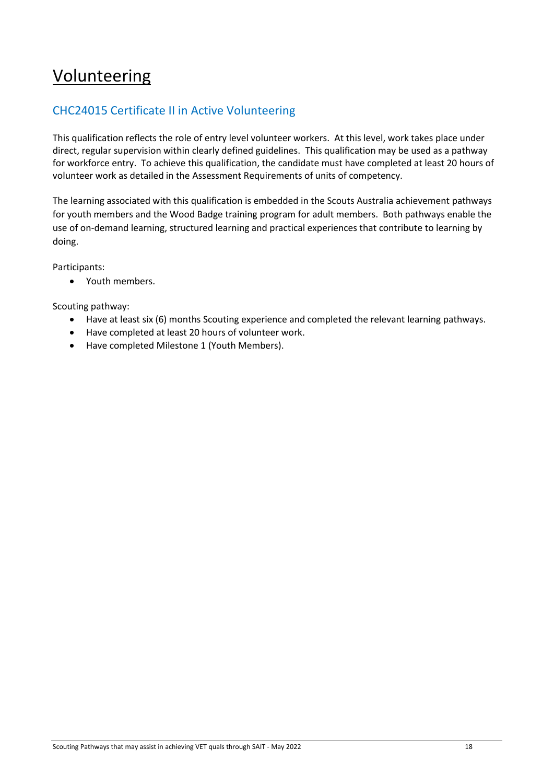## Volunteering

## CHC24015 Certificate II in Active Volunteering

This qualification reflects the role of entry level volunteer workers. At this level, work takes place under direct, regular supervision within clearly defined guidelines. This qualification may be used as a pathway for workforce entry. To achieve this qualification, the candidate must have completed at least 20 hours of volunteer work as detailed in the Assessment Requirements of units of competency.

The learning associated with this qualification is embedded in the Scouts Australia achievement pathways for youth members and the Wood Badge training program for adult members. Both pathways enable the use of on-demand learning, structured learning and practical experiences that contribute to learning by doing.

Participants:

• Youth members.

- Have at least six (6) months Scouting experience and completed the relevant learning pathways.
- Have completed at least 20 hours of volunteer work.
- Have completed Milestone 1 (Youth Members).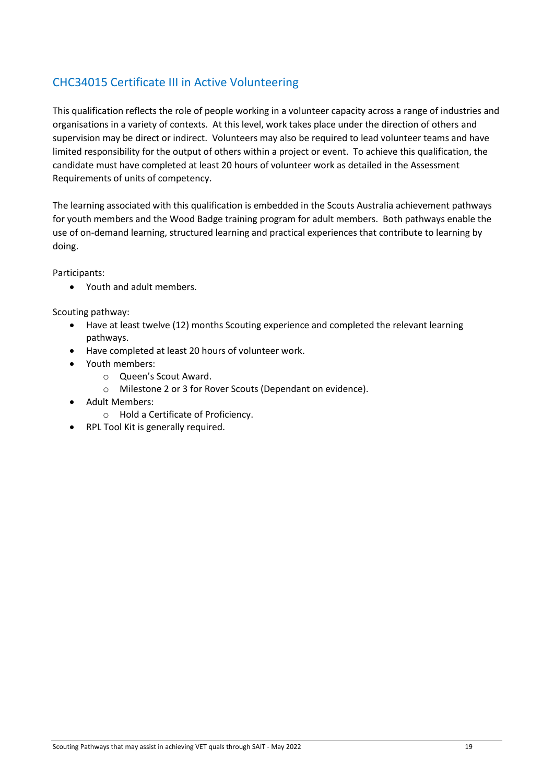## CHC34015 Certificate III in Active Volunteering

This qualification reflects the role of people working in a volunteer capacity across a range of industries and organisations in a variety of contexts. At this level, work takes place under the direction of others and supervision may be direct or indirect. Volunteers may also be required to lead volunteer teams and have limited responsibility for the output of others within a project or event. To achieve this qualification, the candidate must have completed at least 20 hours of volunteer work as detailed in the Assessment Requirements of units of competency.

The learning associated with this qualification is embedded in the Scouts Australia achievement pathways for youth members and the Wood Badge training program for adult members. Both pathways enable the use of on-demand learning, structured learning and practical experiences that contribute to learning by doing.

Participants:

• Youth and adult members.

- Have at least twelve (12) months Scouting experience and completed the relevant learning pathways.
- Have completed at least 20 hours of volunteer work.
- Youth members:
	- o Queen's Scout Award.
	- o Milestone 2 or 3 for Rover Scouts (Dependant on evidence).
- Adult Members:
	- o Hold a Certificate of Proficiency.
- RPL Tool Kit is generally required.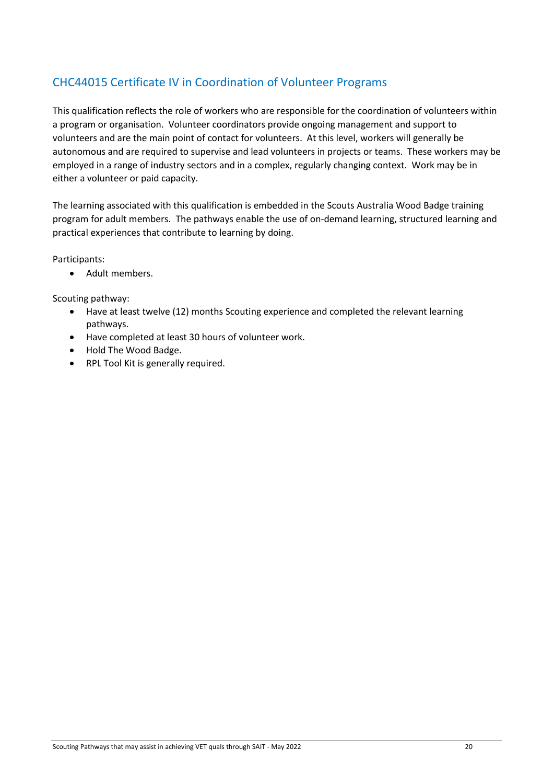## CHC44015 Certificate IV in Coordination of Volunteer Programs

This qualification reflects the role of workers who are responsible for the coordination of volunteers within a program or organisation. Volunteer coordinators provide ongoing management and support to volunteers and are the main point of contact for volunteers. At this level, workers will generally be autonomous and are required to supervise and lead volunteers in projects or teams. These workers may be employed in a range of industry sectors and in a complex, regularly changing context. Work may be in either a volunteer or paid capacity.

The learning associated with this qualification is embedded in the Scouts Australia Wood Badge training program for adult members. The pathways enable the use of on-demand learning, structured learning and practical experiences that contribute to learning by doing.

Participants:

• Adult members.

- Have at least twelve (12) months Scouting experience and completed the relevant learning pathways.
- Have completed at least 30 hours of volunteer work.
- Hold The Wood Badge.
- RPL Tool Kit is generally required.